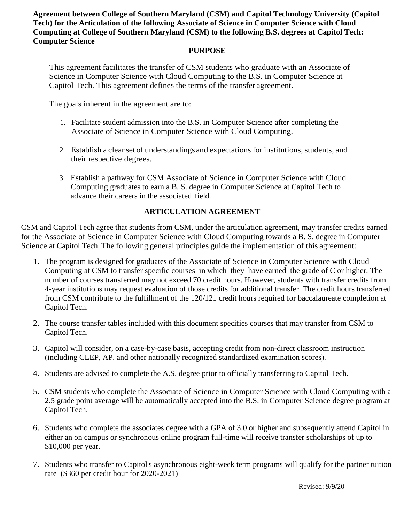**Agreement between College of Southern Maryland (CSM) and Capitol Technology University (Capitol Tech) for the Articulation of the following Associate of Science in Computer Science with Cloud Computing at College of Southern Maryland (CSM) to the following B.S. degrees at Capitol Tech: Computer Science**

#### **PURPOSE**

This agreement facilitates the transfer of CSM students who graduate with an Associate of Science in Computer Science with Cloud Computing to the B.S. in Computer Science at Capitol Tech. This agreement defines the terms of the transfer agreement.

The goals inherent in the agreement are to:

- 1. Facilitate student admission into the B.S. in Computer Science after completing the Associate of Science in Computer Science with Cloud Computing.
- 2. Establish a clear set of understandings and expectations for institutions, students, and their respective degrees.
- 3. Establish a pathway for CSM Associate of Science in Computer Science with Cloud Computing graduates to earn a B. S. degree in Computer Science at Capitol Tech to advance their careers in the associated field.

### **ARTICULATION AGREEMENT**

CSM and Capitol Tech agree that students from CSM, under the articulation agreement, may transfer credits earned for the Associate of Science in Computer Science with Cloud Computing towards a B. S. degree in Computer Science at Capitol Tech. The following general principles guide the implementation of this agreement:

- 1. The program is designed for graduates of the Associate of Science in Computer Science with Cloud Computing at CSM to transfer specific courses in which they have earned the grade of C or higher. The number of courses transferred may not exceed 70 credit hours. However, students with transfer credits from 4-year institutions may request evaluation of those credits for additional transfer. The credit hours transferred from CSM contribute to the fulfillment of the 120/121 credit hours required for baccalaureate completion at Capitol Tech.
- 2. The course transfer tables included with this document specifies courses that may transfer from CSM to Capitol Tech.
- 3. Capitol will consider, on a case-by-case basis, accepting credit from non-direct classroom instruction (including CLEP, AP, and other nationally recognized standardized examination scores).
- 4. Students are advised to complete the A.S. degree prior to officially transferring to Capitol Tech.
- 5. CSM students who complete the Associate of Science in Computer Science with Cloud Computing with a 2.5 grade point average will be automatically accepted into the B.S. in Computer Science degree program at Capitol Tech.
- 6. Students who complete the associates degree with a GPA of 3.0 or higher and subsequently attend Capitol in either an on campus or synchronous online program full-time will receive transfer scholarships of up to \$10,000 per year.
- 7. Students who transfer to Capitol's asynchronous eight-week term programs will qualify for the partner tuition rate (\$360 per credit hour for 2020-2021)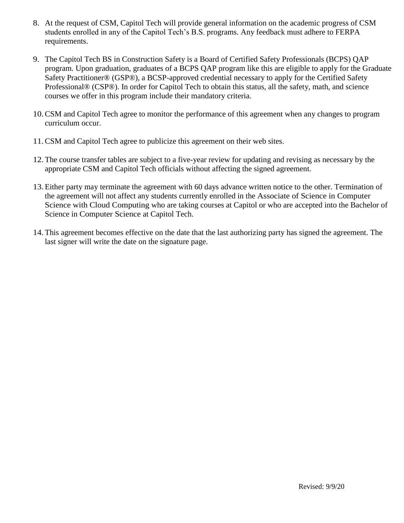- 8. At the request of CSM, Capitol Tech will provide general information on the academic progress of CSM students enrolled in any of the Capitol Tech's B.S. programs. Any feedback must adhere to FERPA requirements.
- 9. The Capitol Tech BS in Construction Safety is a Board of Certified Safety Professionals (BCPS) QAP program. Upon graduation, graduates of a BCPS QAP program like this are eligible to apply for the Graduate Safety Practitioner® (GSP®), a BCSP-approved credential necessary to apply for the Certified Safety Professional® (CSP®). In order for Capitol Tech to obtain this status, all the safety, math, and science courses we offer in this program include their mandatory criteria.
- 10.CSM and Capitol Tech agree to monitor the performance of this agreement when any changes to program curriculum occur.
- 11.CSM and Capitol Tech agree to publicize this agreement on their web sites.
- 12.The course transfer tables are subject to a five-year review for updating and revising as necessary by the appropriate CSM and Capitol Tech officials without affecting the signed agreement.
- 13.Either party may terminate the agreement with 60 days advance written notice to the other. Termination of the agreement will not affect any students currently enrolled in the Associate of Science in Computer Science with Cloud Computing who are taking courses at Capitol or who are accepted into the Bachelor of Science in Computer Science at Capitol Tech.
- 14.This agreement becomes effective on the date that the last authorizing party has signed the agreement. The last signer will write the date on the signature page.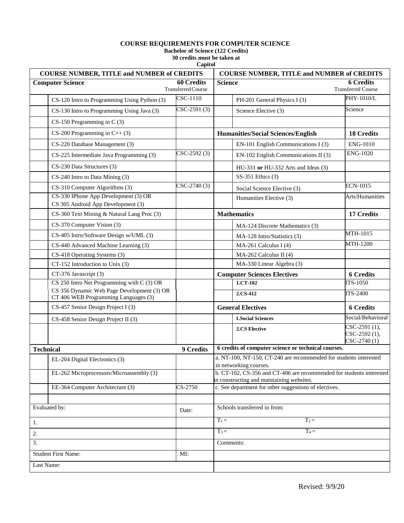#### **COURSE REQUIREMENTS FOR COMPUTER SCIENCE**

**Bachelor of Science (122 Credits)** 

**30 credits must be taken at Capitol**

| <b>COURSE NUMBER, TITLE and NUMBER of CREDITS</b> |                                                                                    |                                         |                                                                                                                   | <b>COURSE NUMBER, TITLE and NUMBER of CREDITS</b>     |                                                   |  |
|---------------------------------------------------|------------------------------------------------------------------------------------|-----------------------------------------|-------------------------------------------------------------------------------------------------------------------|-------------------------------------------------------|---------------------------------------------------|--|
| <b>Computer Science</b>                           |                                                                                    | <b>60 Credits</b><br>Transferred Course | <b>Science</b>                                                                                                    |                                                       | <b>6 Credits</b><br><b>Transferred Course</b>     |  |
|                                                   | CS-120 Intro to Programming Using Python (3)                                       | CSC-1110                                |                                                                                                                   | PH-201 General Physics I (3)                          | PHY-1010/L                                        |  |
|                                                   | CS-130 Intro to Programming Using Java (3)                                         | $CSC-2591(3)$                           |                                                                                                                   | Science Elective (3)                                  | Science                                           |  |
|                                                   | $CS-150$ Programming in C (3)                                                      |                                         |                                                                                                                   |                                                       |                                                   |  |
|                                                   | $CS-200$ Programming in $C++(3)$                                                   |                                         |                                                                                                                   | <b>Humanities/Social Sciences/English</b>             | <b>18 Credits</b>                                 |  |
|                                                   | CS-220 Database Management (3)                                                     |                                         |                                                                                                                   | EN-101 English Communications I (3)                   | <b>ENG-1010</b>                                   |  |
|                                                   | CS-225 Intermediate Java Programming (3)                                           | $CSC-2592(3)$                           |                                                                                                                   | EN-102 English Communications II (3)                  | <b>ENG-1020</b>                                   |  |
|                                                   | CS-230 Data Structures (3)                                                         |                                         |                                                                                                                   | HU-331 or HU-332 Arts and Ideas (3)                   |                                                   |  |
|                                                   | CS-240 Intro to Data Mining (3)                                                    |                                         |                                                                                                                   | SS-351 Ethics (3)                                     |                                                   |  |
|                                                   | CS-310 Computer Algorithms (3)                                                     | $CSC-2740(3)$                           |                                                                                                                   | Social Science Elective (3)                           | <b>ECN-1015</b>                                   |  |
|                                                   | CS-330 IPhone App Development (3) OR                                               |                                         |                                                                                                                   | Humanities Elective (3)                               | Arts/Humanities                                   |  |
|                                                   | CS 305 Android App Development (3)                                                 |                                         |                                                                                                                   |                                                       |                                                   |  |
|                                                   | CS-360 Text Mining & Natural Lang Proc (3)                                         |                                         |                                                                                                                   | <b>Mathematics</b>                                    | 17 Credits                                        |  |
|                                                   | CS-370 Computer Vision (3)                                                         |                                         |                                                                                                                   | MA-124 Discrete Mathematics (3)                       |                                                   |  |
|                                                   | CS-405 Intro/Software Design w/UML (3)                                             |                                         |                                                                                                                   | MA-128 Intro/Statistics (3)                           | MTH-1015                                          |  |
|                                                   | CS-440 Advanced Machine Learning (3)                                               |                                         |                                                                                                                   | MA-261 Calculus I (4)                                 | <b>MTH-1200</b>                                   |  |
|                                                   | CS-418 Operating Systems (3)                                                       |                                         |                                                                                                                   | MA-262 Calculus II (4)                                |                                                   |  |
|                                                   | CT-152 Introduction to Unix (3)                                                    |                                         |                                                                                                                   | MA-330 Linear Algebra (3)                             |                                                   |  |
|                                                   | CT-376 Javascript (3)                                                              |                                         |                                                                                                                   | <b>Computer Sciences Electives</b>                    | <b>6 Credits</b>                                  |  |
|                                                   | $CS$ 250 Intro Net Programming with C (3) OR                                       |                                         |                                                                                                                   | 1.CT-102                                              | <b>ITS-1050</b>                                   |  |
|                                                   | CS 356 Dynamic Web Page Development (3) OR<br>CT 406 WEB Programming Languages (3) |                                         |                                                                                                                   | 2.CS-412                                              | <b>ITS-2400</b>                                   |  |
|                                                   | CS-457 Senior Design Project I (3)                                                 |                                         |                                                                                                                   | <b>General Electives</b>                              | <b>6 Credits</b>                                  |  |
|                                                   | CS-458 Senior Design Project II (3)                                                |                                         |                                                                                                                   | <b>1. Social Sciences</b>                             | Social/Behavioral                                 |  |
|                                                   |                                                                                    |                                         |                                                                                                                   | 2.CS Elective                                         | $CSC-2591(1),$<br>$CSC-2592(1),$<br>$CSC-2740(1)$ |  |
| <b>Technical</b>                                  |                                                                                    | 9 Credits                               | 6 credits of computer science or technical courses.                                                               |                                                       |                                                   |  |
|                                                   | EL-204 Digital Electronics (3)                                                     |                                         | a. NT-100, NT-150, CT-240 are recommended for students interested<br>in networking courses.                       |                                                       |                                                   |  |
|                                                   | EL-262 Microprocessors/Microassembly (3)                                           |                                         | b. CT-102, CS-356 and CT-406 are recommended for students interested<br>in constructing and maintaining websites. |                                                       |                                                   |  |
|                                                   | EE-364 Computer Architecture (3)                                                   | $CS-2750$                               |                                                                                                                   | c. See department for other suggestions of electives. |                                                   |  |
|                                                   |                                                                                    |                                         |                                                                                                                   |                                                       |                                                   |  |
| Evaluated by:                                     |                                                                                    | Date:                                   | Schools transferred in from:                                                                                      |                                                       |                                                   |  |
| 1.                                                |                                                                                    |                                         | $T_1 =$<br>$T_2 =$                                                                                                |                                                       |                                                   |  |
| 2.                                                |                                                                                    |                                         | $T_4 =$<br>$T_3 =$                                                                                                |                                                       |                                                   |  |
| 3.                                                |                                                                                    |                                         | Comments:                                                                                                         |                                                       |                                                   |  |
| <b>Student First Name:</b><br>MI:                 |                                                                                    |                                         |                                                                                                                   |                                                       |                                                   |  |
| Last Name:                                        |                                                                                    |                                         |                                                                                                                   |                                                       |                                                   |  |

.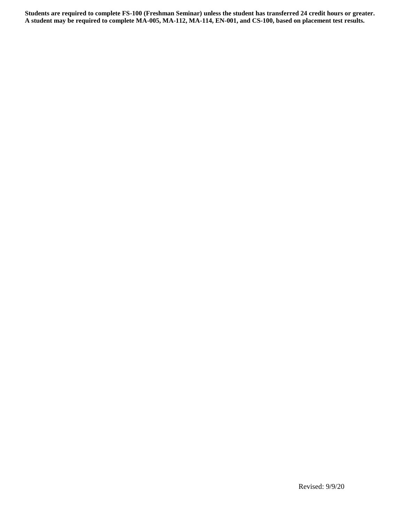**Students are required to complete FS-100 (Freshman Seminar) unless the student has transferred 24 credit hours or greater. A student may be required to complete MA-005, MA-112, MA-114, EN-001, and CS-100, based on placement test results.**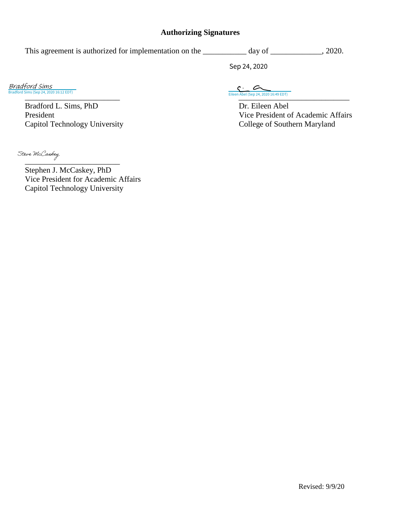### **Authorizing Signatures**

This agreement is authorized for implementation on the \_\_\_\_\_\_\_\_\_ day of \_\_\_\_\_\_\_\_\_, 2020. Sep 24, 2020

Bradford Sims (Sep 24, 2020 16:12 EDT) [Bradford Sims](https://na2.documents.adobe.com/verifier?tx=CBJCHBCAABAA2SqptvuB7G_2yq8vo3S8eIo7NmuW5DW3)

> Bradford L. Sims, PhD Dr. Eileen Abel<br>President Vice President c Capitol Technology University College of Southern Maryland

\_\_\_\_\_\_\_\_\_\_\_\_\_\_\_\_\_\_\_\_\_\_\_\_ [\\_\\_\\_\\_\\_\\_\\_\\_\\_\\_\\_\\_\\_\\_\\_\\_\\_\\_\\_\\_\\_\\_\\_\\_\\_\\_\\_\\_](https://na2.documents.adobe.com/verifier?tx=CBJCHBCAABAA2SqptvuB7G_2yq8vo3S8eIo7NmuW5DW3)  $\overbrace{\text{Eileen Abel (Sep 24, 2020 16:49 EDT)}}$ 

Vice President of Academic Affairs

Steve McCaskey

Stephen J. McCaskey, PhD Vice President for Academic Affairs Capitol Technology University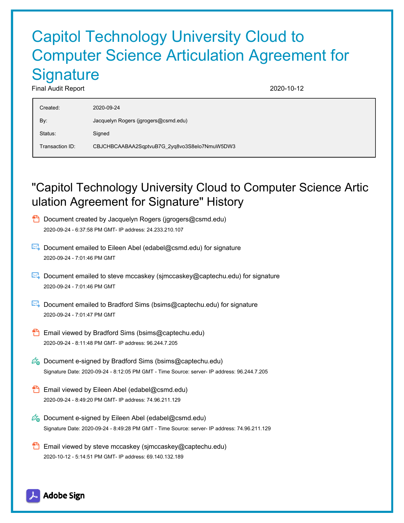# Capitol Technology University Cloud to Computer Science Articulation Agreement for **Signature**

Final Audit Report 2020-10-12

| Created:        | 2020-09-24                                   |
|-----------------|----------------------------------------------|
| By:             | Jacquelyn Rogers (jgrogers@csmd.edu)         |
| Status:         | Signed                                       |
| Transaction ID: | CBJCHBCAABAA2SqptvuB7G_2yq8vo3S8elo7NmuW5DW3 |

## "Capitol Technology University Cloud to Computer Science Artic ulation Agreement for Signature" History



- $\mathbb{E}$  Document emailed to Eileen Abel (edabel@csmd.edu) for signature 2020-09-24 - 7:01:46 PM GMT
- Document emailed to steve mccaskey (sjmccaskey@captechu.edu) for signature 2020-09-24 - 7:01:46 PM GMT
- Document emailed to Bradford Sims (bsims@captechu.edu) for signature 2020-09-24 - 7:01:47 PM GMT
- **Email viewed by Bradford Sims (bsims@captechu.edu)** 2020-09-24 - 8:11:48 PM GMT- IP address: 96.244.7.205
- $\mathbb{Z}_{\bullet}$  Document e-signed by Bradford Sims (bsims@captechu.edu) Signature Date: 2020-09-24 - 8:12:05 PM GMT - Time Source: server- IP address: 96.244.7.205
- **Email viewed by Eileen Abel (edabel@csmd.edu)** 2020-09-24 - 8:49:20 PM GMT- IP address: 74.96.211.129
- $\mathscr{O}_\blacksquare$  Document e-signed by Eileen Abel (edabel@csmd.edu) Signature Date: 2020-09-24 - 8:49:28 PM GMT - Time Source: server- IP address: 74.96.211.129
- **Email viewed by steve mccaskey (sjmccaskey@captechu.edu)** 2020-10-12 - 5:14:51 PM GMT- IP address: 69.140.132.189